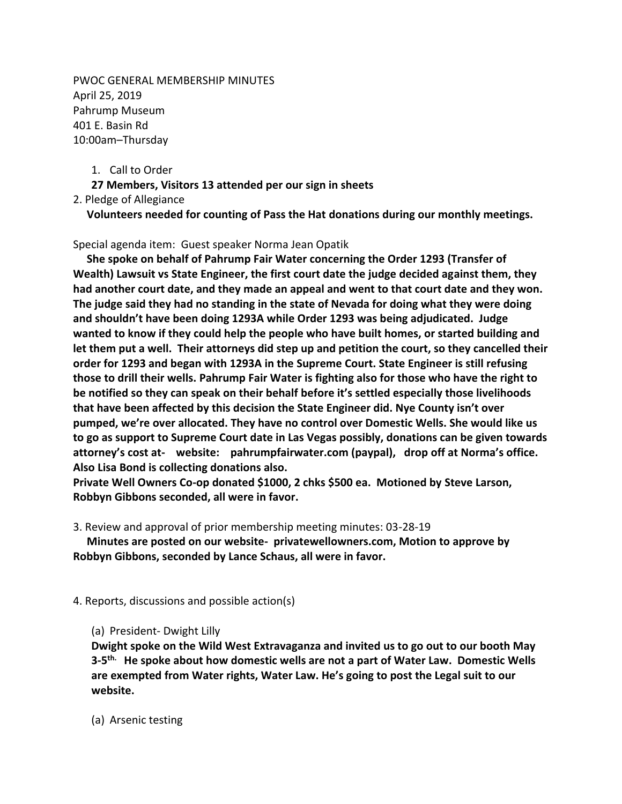PWOC GENERAL MEMBERSHIP MINUTES April 25, 2019 Pahrump Museum 401 E. Basin Rd 10:00am–Thursday

1. Call to Order

**27 Members, Visitors 13 attended per our sign in sheets**

2. Pledge of Allegiance

**Volunteers needed for counting of Pass the Hat donations during our monthly meetings.**

Special agenda item: Guest speaker Norma Jean Opatik

 **She spoke on behalf of Pahrump Fair Water concerning the Order 1293 (Transfer of Wealth) Lawsuit vs State Engineer, the first court date the judge decided against them, they had another court date, and they made an appeal and went to that court date and they won. The judge said they had no standing in the state of Nevada for doing what they were doing and shouldn't have been doing 1293A while Order 1293 was being adjudicated. Judge wanted to know if they could help the people who have built homes, or started building and let them put a well. Their attorneys did step up and petition the court, so they cancelled their order for 1293 and began with 1293A in the Supreme Court. State Engineer is still refusing those to drill their wells. Pahrump Fair Water is fighting also for those who have the right to be notified so they can speak on their behalf before it's settled especially those livelihoods that have been affected by this decision the State Engineer did. Nye County isn't over pumped, we're over allocated. They have no control over Domestic Wells. She would like us to go as support to Supreme Court date in Las Vegas possibly, donations can be given towards attorney's cost at- website: pahrumpfairwater.com (paypal), drop off at Norma's office. Also Lisa Bond is collecting donations also.** 

**Private Well Owners Co-op donated \$1000, 2 chks \$500 ea. Motioned by Steve Larson, Robbyn Gibbons seconded, all were in favor.**

3. Review and approval of prior membership meeting minutes: 03-28-19

 **Minutes are posted on our website- privatewellowners.com, Motion to approve by Robbyn Gibbons, seconded by Lance Schaus, all were in favor.**

4. Reports, discussions and possible action(s)

(a) President- Dwight Lilly

**Dwight spoke on the Wild West Extravaganza and invited us to go out to our booth May 3-5 th. He spoke about how domestic wells are not a part of Water Law. Domestic Wells are exempted from Water rights, Water Law. He's going to post the Legal suit to our website.** 

(a) Arsenic testing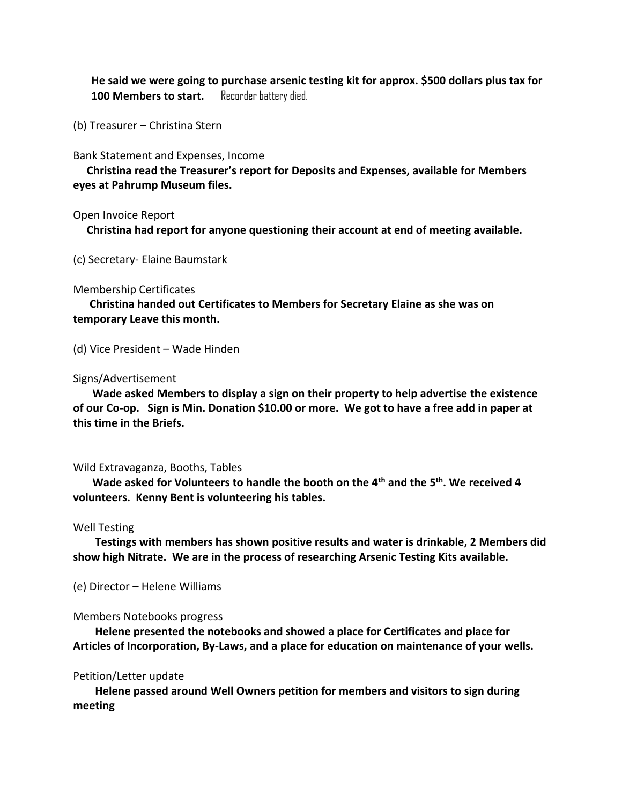**He said we were going to purchase arsenic testing kit for approx. \$500 dollars plus tax for**  100 Members to start. Recorder battery died.

(b) Treasurer – Christina Stern

Bank Statement and Expenses, Income

 **Christina read the Treasurer's report for Deposits and Expenses, available for Members eyes at Pahrump Museum files.**

Open Invoice Report

**Christina had report for anyone questioning their account at end of meeting available.**

(c) Secretary- Elaine Baumstark

### Membership Certificates

 **Christina handed out Certificates to Members for Secretary Elaine as she was on temporary Leave this month.**

(d) Vice President – Wade Hinden

## Signs/Advertisement

 **Wade asked Members to display a sign on their property to help advertise the existence of our Co-op. Sign is Min. Donation \$10.00 or more. We got to have a free add in paper at this time in the Briefs.**

### Wild Extravaganza, Booths, Tables

 **Wade asked for Volunteers to handle the booth on the 4th and the 5th. We received 4 volunteers. Kenny Bent is volunteering his tables.**

### Well Testing

 **Testings with members has shown positive results and water is drinkable, 2 Members did show high Nitrate. We are in the process of researching Arsenic Testing Kits available.**

(e) Director – Helene Williams

### Members Notebooks progress

 **Helene presented the notebooks and showed a place for Certificates and place for Articles of Incorporation, By-Laws, and a place for education on maintenance of your wells.**

# Petition/Letter update

 **Helene passed around Well Owners petition for members and visitors to sign during meeting**